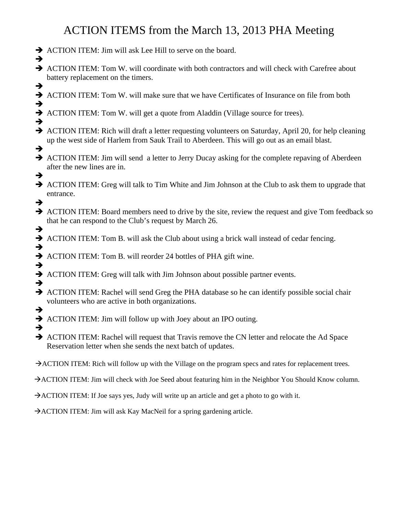# ACTION ITEMS from the March 13, 2013 PHA Meeting

- $\rightarrow$  ACTION ITEM: Jim will ask Lee Hill to serve on the board.
- $\rightarrow$
- $\rightarrow$  ACTION ITEM: Tom W. will coordinate with both contractors and will check with Carefree about battery replacement on the timers.
- $\rightarrow$
- $\rightarrow$  ACTION ITEM: Tom W. will make sure that we have Certificates of Insurance on file from both  $\rightarrow$
- $\rightarrow$  ACTION ITEM: Tom W. will get a quote from Aladdin (Village source for trees).
- $\rightarrow$
- $\rightarrow$  ACTION ITEM: Rich will draft a letter requesting volunteers on Saturday, April 20, for help cleaning up the west side of Harlem from Sauk Trail to Aberdeen. This will go out as an email blast.
- $\rightarrow$
- $\rightarrow$  ACTION ITEM: Jim will send a letter to Jerry Ducay asking for the complete repaving of Aberdeen after the new lines are in.
- $\rightarrow$
- $\rightarrow$  ACTION ITEM: Greg will talk to Tim White and Jim Johnson at the Club to ask them to upgrade that entrance.
- $\rightarrow$
- $\rightarrow$  ACTION ITEM: Board members need to drive by the site, review the request and give Tom feedback so that he can respond to the Club's request by March 26.
- $\rightarrow$
- $\rightarrow$  ACTION ITEM: Tom B, will ask the Club about using a brick wall instead of cedar fencing.  $\rightarrow$
- $\rightarrow$  ACTION ITEM: Tom B. will reorder 24 bottles of PHA gift wine.
- $\rightarrow$  ACTION ITEM: Greg will talk with Jim Johnson about possible partner events.
- $\rightarrow$

 $\rightarrow$ 

- $\rightarrow$  ACTION ITEM: Rachel will send Greg the PHA database so he can identify possible social chair volunteers who are active in both organizations.
- $\rightarrow$
- $\rightarrow$  ACTION ITEM: Jim will follow up with Joey about an IPO outing.
- $\rightarrow$
- $\rightarrow$  ACTION ITEM: Rachel will request that Travis remove the CN letter and relocate the Ad Space Reservation letter when she sends the next batch of updates.
- $\rightarrow$  ACTION ITEM: Rich will follow up with the Village on the program specs and rates for replacement trees.
- $\rightarrow$  ACTION ITEM: Jim will check with Joe Seed about featuring him in the Neighbor You Should Know column.
- $\rightarrow$  ACTION ITEM: If Joe says yes, Judy will write up an article and get a photo to go with it.
- $\rightarrow$  ACTION ITEM: Jim will ask Kay MacNeil for a spring gardening article.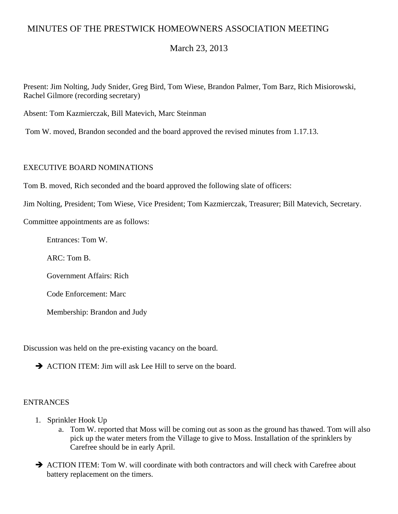# MINUTES OF THE PRESTWICK HOMEOWNERS ASSOCIATION MEETING

# March 23, 2013

Present: Jim Nolting, Judy Snider, Greg Bird, Tom Wiese, Brandon Palmer, Tom Barz, Rich Misiorowski, Rachel Gilmore (recording secretary)

Absent: Tom Kazmierczak, Bill Matevich, Marc Steinman

Tom W. moved, Brandon seconded and the board approved the revised minutes from 1.17.13.

# EXECUTIVE BOARD NOMINATIONS

Tom B. moved, Rich seconded and the board approved the following slate of officers:

Jim Nolting, President; Tom Wiese, Vice President; Tom Kazmierczak, Treasurer; Bill Matevich, Secretary.

Committee appointments are as follows:

Entrances: Tom W.

ARC: Tom B.

Government Affairs: Rich

Code Enforcement: Marc

Membership: Brandon and Judy

Discussion was held on the pre-existing vacancy on the board.

 $\rightarrow$  ACTION ITEM: Jim will ask Lee Hill to serve on the board.

# ENTRANCES

- 1. Sprinkler Hook Up
	- a. Tom W. reported that Moss will be coming out as soon as the ground has thawed. Tom will also pick up the water meters from the Village to give to Moss. Installation of the sprinklers by Carefree should be in early April.
- $\rightarrow$  ACTION ITEM: Tom W. will coordinate with both contractors and will check with Carefree about battery replacement on the timers.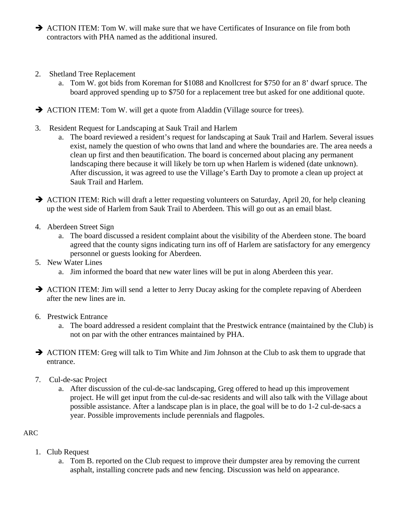- $\rightarrow$  ACTION ITEM: Tom W. will make sure that we have Certificates of Insurance on file from both contractors with PHA named as the additional insured.
- 2. Shetland Tree Replacement
	- a. Tom W. got bids from Koreman for \$1088 and Knollcrest for \$750 for an 8' dwarf spruce. The board approved spending up to \$750 for a replacement tree but asked for one additional quote.
- $\rightarrow$  ACTION ITEM: Tom W. will get a quote from Aladdin (Village source for trees).
- 3. Resident Request for Landscaping at Sauk Trail and Harlem
	- a. The board reviewed a resident's request for landscaping at Sauk Trail and Harlem. Several issues exist, namely the question of who owns that land and where the boundaries are. The area needs a clean up first and then beautification. The board is concerned about placing any permanent landscaping there because it will likely be torn up when Harlem is widened (date unknown). After discussion, it was agreed to use the Village's Earth Day to promote a clean up project at Sauk Trail and Harlem.
- $\rightarrow$  ACTION ITEM: Rich will draft a letter requesting volunteers on Saturday, April 20, for help cleaning up the west side of Harlem from Sauk Trail to Aberdeen. This will go out as an email blast.
- 4. Aberdeen Street Sign
	- a. The board discussed a resident complaint about the visibility of the Aberdeen stone. The board agreed that the county signs indicating turn ins off of Harlem are satisfactory for any emergency personnel or guests looking for Aberdeen.
- 5. New Water Lines
	- a. Jim informed the board that new water lines will be put in along Aberdeen this year.
- $\rightarrow$  ACTION ITEM: Jim will send a letter to Jerry Ducay asking for the complete repaving of Aberdeen after the new lines are in.
- 6. Prestwick Entrance
	- a. The board addressed a resident complaint that the Prestwick entrance (maintained by the Club) is not on par with the other entrances maintained by PHA.
- $\rightarrow$  ACTION ITEM: Greg will talk to Tim White and Jim Johnson at the Club to ask them to upgrade that entrance.
- 7. Cul-de-sac Project
	- a. After discussion of the cul-de-sac landscaping, Greg offered to head up this improvement project. He will get input from the cul-de-sac residents and will also talk with the Village about possible assistance. After a landscape plan is in place, the goal will be to do 1-2 cul-de-sacs a year. Possible improvements include perennials and flagpoles.

# ARC

- 1. Club Request
	- a. Tom B. reported on the Club request to improve their dumpster area by removing the current asphalt, installing concrete pads and new fencing. Discussion was held on appearance.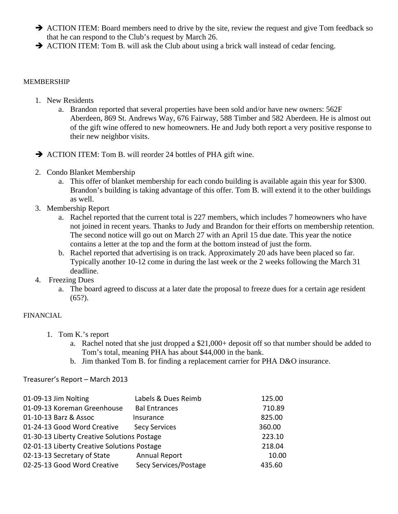- $\rightarrow$  ACTION ITEM: Board members need to drive by the site, review the request and give Tom feedback so that he can respond to the Club's request by March 26.
- $\rightarrow$  ACTION ITEM: Tom B. will ask the Club about using a brick wall instead of cedar fencing.

#### MEMBERSHIP

- 1. New Residents
	- a. Brandon reported that several properties have been sold and/or have new owners: 562F Aberdeen, 869 St. Andrews Way, 676 Fairway, 588 Timber and 582 Aberdeen. He is almost out of the gift wine offered to new homeowners. He and Judy both report a very positive response to their new neighbor visits.
- $\rightarrow$  ACTION ITEM: Tom B. will reorder 24 bottles of PHA gift wine.
- 2. Condo Blanket Membership
	- a. This offer of blanket membership for each condo building is available again this year for \$300. Brandon's building is taking advantage of this offer. Tom B. will extend it to the other buildings as well.
- 3. Membership Report
	- a. Rachel reported that the current total is 227 members, which includes 7 homeowners who have not joined in recent years. Thanks to Judy and Brandon for their efforts on membership retention. The second notice will go out on March 27 with an April 15 due date. This year the notice contains a letter at the top and the form at the bottom instead of just the form.
	- b. Rachel reported that advertising is on track. Approximately 20 ads have been placed so far. Typically another 10-12 come in during the last week or the 2 weeks following the March 31 deadline.
- 4. Freezing Dues
	- a. The board agreed to discuss at a later date the proposal to freeze dues for a certain age resident  $(65?)$ .

### FINANCIAL

- 1. Tom K.'s report
	- a. Rachel noted that she just dropped a \$21,000+ deposit off so that number should be added to Tom's total, meaning PHA has about \$44,000 in the bank.
	- b. Jim thanked Tom B. for finding a replacement carrier for PHA D&O insurance.

### Treasurer's Report – March 2013

| 01-09-13 Jim Nolting                        | Labels & Dues Reimb   | 125.00 |
|---------------------------------------------|-----------------------|--------|
| 01-09-13 Koreman Greenhouse                 | <b>Bal Entrances</b>  | 710.89 |
| 01-10-13 Barz & Assoc                       | Insurance             | 825.00 |
| 01-24-13 Good Word Creative                 | <b>Secy Services</b>  | 360.00 |
| 01-30-13 Liberty Creative Solutions Postage |                       | 223.10 |
| 02-01-13 Liberty Creative Solutions Postage |                       | 218.04 |
| 02-13-13 Secretary of State                 | <b>Annual Report</b>  | 10.00  |
| 02-25-13 Good Word Creative                 | Secy Services/Postage | 435.60 |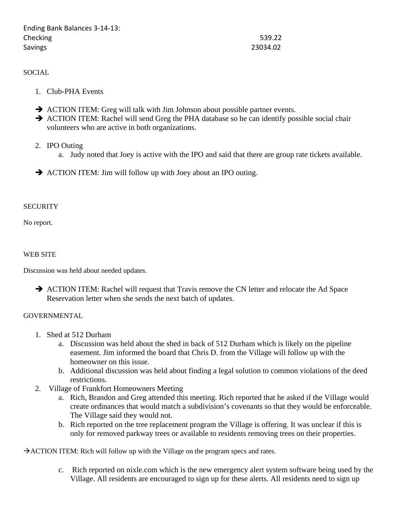Ending Bank Balances 3‐14‐13:  $\blacksquare$ Checking  $\blacksquare$  $Savings$  avings

#### SOCIAL

- 1. Club-PHA Events
- $\rightarrow$  ACTION ITEM: Greg will talk with Jim Johnson about possible partner events.
- $\rightarrow$  ACTION ITEM: Rachel will send Greg the PHA database so he can identify possible social chair volunteers who are active in both organizations.
- 2. IPO Outing
	- a. Judy noted that Joey is active with the IPO and said that there are group rate tickets available.
- $\rightarrow$  ACTION ITEM: Jim will follow up with Joey about an IPO outing.

#### **SECURITY**

No report.

#### WEB SITE

Discussion was held about needed updates.

 $\rightarrow$  ACTION ITEM: Rachel will request that Travis remove the CN letter and relocate the Ad Space Reservation letter when she sends the next batch of updates.

#### GOVERNMENTAL

- 1. Shed at 512 Durham
	- a. Discussion was held about the shed in back of 512 Durham which is likely on the pipeline easement. Jim informed the board that Chris D. from the Village will follow up with the homeowner on this issue.
	- b. Additional discussion was held about finding a legal solution to common violations of the deed restrictions.
- 2. Village of Frankfort Homeowners Meeting
	- a. Rich, Brandon and Greg attended this meeting. Rich reported that he asked if the Village would create ordinances that would match a subdivision's covenants so that they would be enforceable. The Village said they would not.
	- b. Rich reported on the tree replacement program the Village is offering. It was unclear if this is only for removed parkway trees or available to residents removing trees on their properties.

 $\rightarrow$  ACTION ITEM: Rich will follow up with the Village on the program specs and rates.

c. Rich reported on nixle.com which is the new emergency alert system software being used by the Village. All residents are encouraged to sign up for these alerts. All residents need to sign up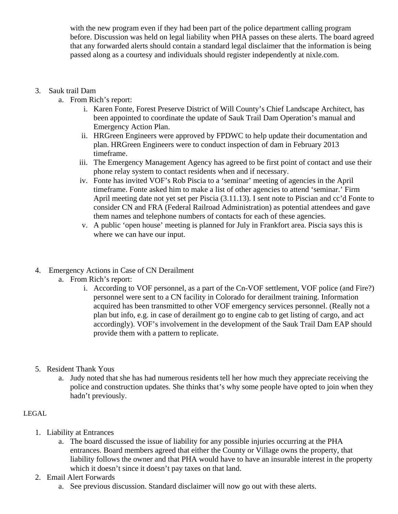with the new program even if they had been part of the police department calling program before. Discussion was held on legal liability when PHA passes on these alerts. The board agreed that any forwarded alerts should contain a standard legal disclaimer that the information is being passed along as a courtesy and individuals should register independently at nixle.com.

- 3. Sauk trail Dam
	- a. From Rich's report:
		- i. Karen Fonte, Forest Preserve District of Will County's Chief Landscape Architect, has been appointed to coordinate the update of Sauk Trail Dam Operation's manual and Emergency Action Plan.
		- ii. HRGreen Engineers were approved by FPDWC to help update their documentation and plan. HRGreen Engineers were to conduct inspection of dam in February 2013 timeframe.
		- iii. The Emergency Management Agency has agreed to be first point of contact and use their phone relay system to contact residents when and if necessary.
		- iv. Fonte has invited VOF's Rob Piscia to a 'seminar' meeting of agencies in the April timeframe. Fonte asked him to make a list of other agencies to attend 'seminar.' Firm April meeting date not yet set per Piscia (3.11.13). I sent note to Piscian and cc'd Fonte to consider CN and FRA (Federal Railroad Administration) as potential attendees and gave them names and telephone numbers of contacts for each of these agencies.
		- v. A public 'open house' meeting is planned for July in Frankfort area. Piscia says this is where we can have our input.
- 4. Emergency Actions in Case of CN Derailment
	- a. From Rich's report:
		- i. According to VOF personnel, as a part of the Cn-VOF settlement, VOF police (and Fire?) personnel were sent to a CN facility in Colorado for derailment training. Information acquired has been transmitted to other VOF emergency services personnel. (Really not a plan but info, e.g. in case of derailment go to engine cab to get listing of cargo, and act accordingly). VOF's involvement in the development of the Sauk Trail Dam EAP should provide them with a pattern to replicate.
- 5. Resident Thank Yous
	- a. Judy noted that she has had numerous residents tell her how much they appreciate receiving the police and construction updates. She thinks that's why some people have opted to join when they hadn't previously.

# LEGAL

- 1. Liability at Entrances
	- a. The board discussed the issue of liability for any possible injuries occurring at the PHA entrances. Board members agreed that either the County or Village owns the property, that liability follows the owner and that PHA would have to have an insurable interest in the property which it doesn't since it doesn't pay taxes on that land.
- 2. Email Alert Forwards
	- a. See previous discussion. Standard disclaimer will now go out with these alerts.